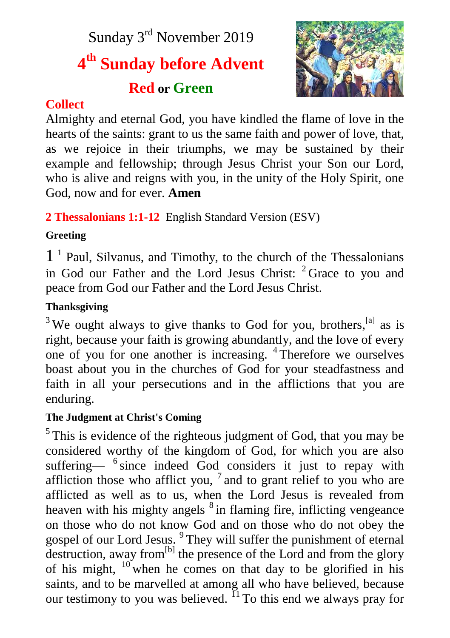Sunday 3rd November 2019

# **4 th Sunday before Advent**

# **Red or Green**



## **Collect**

Almighty and eternal God, you have kindled the flame of love in the hearts of the saints: grant to us the same faith and power of love, that, as we rejoice in their triumphs, we may be sustained by their example and fellowship; through Jesus Christ your Son our Lord, who is alive and reigns with you, in the unity of the Holy Spirit, one God, now and for ever. **Amen**

## **2 Thessalonians 1:1-12** English Standard Version (ESV)

## **Greeting**

1 1 Paul, Silvanus, and Timothy, to the church of the Thessalonians in God our Father and the Lord Jesus Christ:  $2$  Grace to you and peace from God our Father and the Lord Jesus Christ.

## **Thanksgiving**

 $3$  We ought always to give thanks to God for you, brothers,  $^{[a]}$  as is right, because your faith is growing abundantly, and the love of every one of you for one another is increasing. <sup>4</sup> Therefore we ourselves boast about you in the churches of God for your steadfastness and faith in all your persecutions and in the afflictions that you are enduring.

## **The Judgment at Christ's Coming**

<sup>5</sup>This is evidence of the righteous judgment of God, that you may be considered worthy of the kingdom of God, for which you are also suffering— <sup>6</sup> since indeed God considers it just to repay with affliction those who afflict you,  $7$  and to grant relief to you who are afflicted as well as to us, when the Lord Jesus is revealed from heaven with his mighty angels <sup>8</sup> in flaming fire, inflicting vengeance on those who do not know God and on those who do not obey the gospel of our Lord Jesus. <sup>9</sup> They will suffer the punishment of eternal destruction, away from<sup>[b]</sup> the presence of the Lord and from the glory of his might,  $10$  when he comes on that day to be glorified in his saints, and to be marvelled at among all who have believed, because our testimony to you was believed.  $^{11}$  To this end we always pray for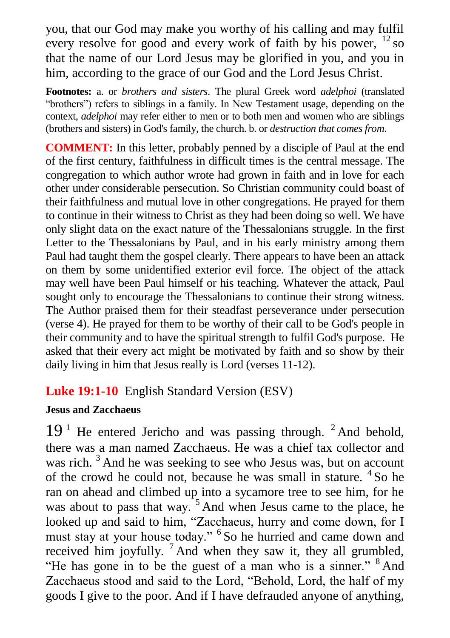you, that our God may make you worthy of his calling and may fulfil every resolve for good and every work of faith by his power,  $^{12}$  so that the name of our Lord Jesus may be glorified in you, and you in him, according to the grace of our God and the Lord Jesus Christ.

**Footnotes:** a. or *brothers and sisters*. The plural Greek word *adelphoi* (translated "brothers") refers to siblings in a family. In New Testament usage, depending on the context, *adelphoi* may refer either to men or to both men and women who are siblings (brothers and sisters) in God's family, the church. b. or *destruction that comes from*.

**COMMENT:** In this letter, probably penned by a disciple of Paul at the end of the first century, faithfulness in difficult times is the central message. The congregation to which author wrote had grown in faith and in love for each other under considerable persecution. So Christian community could boast of their faithfulness and mutual love in other congregations. He prayed for them to continue in their witness to Christ as they had been doing so well. We have only slight data on the exact nature of the Thessalonians struggle. In the first Letter to the Thessalonians by Paul, and in his early ministry among them Paul had taught them the gospel clearly. There appears to have been an attack on them by some unidentified exterior evil force. The object of the attack may well have been Paul himself or his teaching. Whatever the attack, Paul sought only to encourage the Thessalonians to continue their strong witness. The Author praised them for their steadfast perseverance under persecution (verse 4). He prayed for them to be worthy of their call to be God's people in their community and to have the spiritual strength to fulfil God's purpose. He asked that their every act might be motivated by faith and so show by their daily living in him that Jesus really is Lord (verses 11-12).

## **Luke 19:1-10** English Standard Version (ESV)

#### **Jesus and Zacchaeus**

 $19<sup>1</sup>$  He entered Jericho and was passing through. <sup>2</sup> And behold, there was a man named Zacchaeus. He was a chief tax collector and was rich.<sup>3</sup> And he was seeking to see who Jesus was, but on account of the crowd he could not, because he was small in stature. <sup>4</sup>So he ran on ahead and climbed up into a sycamore tree to see him, for he was about to pass that way.  $5$  And when Jesus came to the place, he looked up and said to him, "Zacchaeus, hurry and come down, for I must stay at your house today." <sup>6</sup> So he hurried and came down and received him joyfully.  $^7$  And when they saw it, they all grumbled, "He has gone in to be the guest of a man who is a sinner." <sup>8</sup> And Zacchaeus stood and said to the Lord, "Behold, Lord, the half of my goods I give to the poor. And if I have defrauded anyone of anything,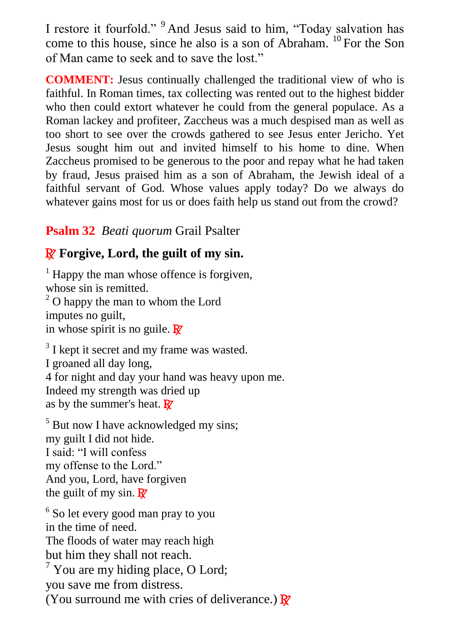I restore it fourfold." <sup>9</sup> And Jesus said to him, "Today salvation has come to this house, since he also is a son of Abraham. <sup>10</sup> For the Son of Man came to seek and to save the lost."

**COMMENT:** Jesus continually challenged the traditional view of who is faithful. In Roman times, tax collecting was rented out to the highest bidder who then could extort whatever he could from the general populace. As a Roman lackey and profiteer, Zaccheus was a much despised man as well as too short to see over the crowds gathered to see Jesus enter Jericho. Yet Jesus sought him out and invited himself to his home to dine. When Zaccheus promised to be generous to the poor and repay what he had taken by fraud, Jesus praised him as a son of Abraham, the Jewish ideal of a faithful servant of God. Whose values apply today? Do we always do whatever gains most for us or does faith help us stand out from the crowd?

## **Psalm 32** *Beati quorum* Grail Psalter

## R **Forgive, Lord, the guilt of my sin.**

 $<sup>1</sup>$  Happy the man whose offence is forgiven,</sup> whose sin is remitted.  $2^{\circ}$  O happy the man to whom the Lord imputes no guilt, in whose spirit is no guile.  $\mathbb{R}^7$ 

<sup>3</sup> I kept it secret and my frame was wasted. I groaned all day long, 4 for night and day your hand was heavy upon me. Indeed my strength was dried up as by the summer's heat.  $\mathbf{R}$ 

<sup>5</sup> But now I have acknowledged my sins; my guilt I did not hide. I said: "I will confess my offense to the Lord." And you, Lord, have forgiven the guilt of my sin.  $\mathbf{R}^{\prime}$ 

<sup>6</sup> So let every good man pray to you in the time of need. The floods of water may reach high but him they shall not reach.  $7$  You are my hiding place, O Lord; you save me from distress. (You surround me with cries of deliverance.)  $\mathbb{R}^7$